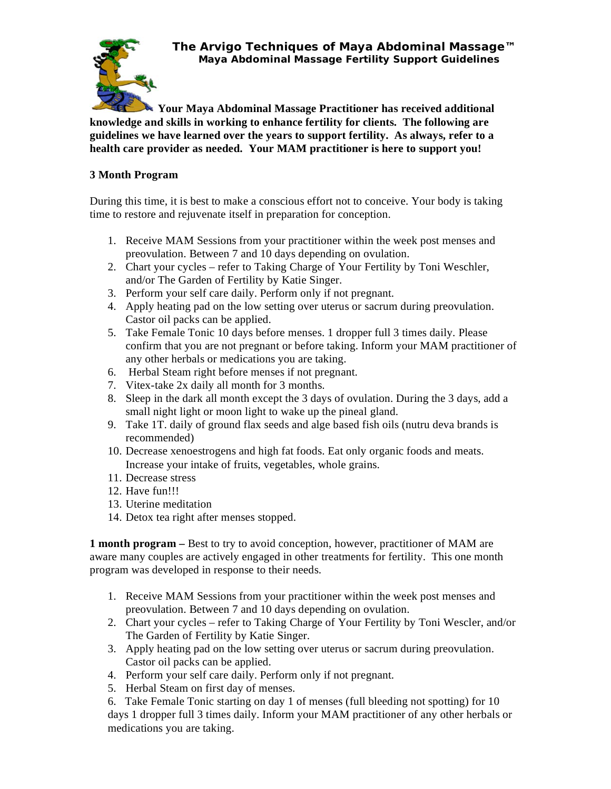**The Arvigo Techniques of Maya Abdominal Massage™ Maya Abdominal Massage Fertility Support Guidelines**



**Your Maya Abdominal Massage Practitioner has received additional knowledge and skills in working to enhance fertility for clients. The following are guidelines we have learned over the years to support fertility. As always, refer to a health care provider as needed. Your MAM practitioner is here to support you!** 

## **3 Month Program**

During this time, it is best to make a conscious effort not to conceive. Your body is taking time to restore and rejuvenate itself in preparation for conception.

- 1. Receive MAM Sessions from your practitioner within the week post menses and preovulation. Between 7 and 10 days depending on ovulation.
- 2. Chart your cycles refer to Taking Charge of Your Fertility by Toni Weschler, and/or The Garden of Fertility by Katie Singer.
- 3. Perform your self care daily. Perform only if not pregnant.
- 4. Apply heating pad on the low setting over uterus or sacrum during preovulation. Castor oil packs can be applied.
- 5. Take Female Tonic 10 days before menses. 1 dropper full 3 times daily. Please confirm that you are not pregnant or before taking. Inform your MAM practitioner of any other herbals or medications you are taking.
- 6. Herbal Steam right before menses if not pregnant.
- 7. Vitex-take 2x daily all month for 3 months.
- 8. Sleep in the dark all month except the 3 days of ovulation. During the 3 days, add a small night light or moon light to wake up the pineal gland.
- 9. Take 1T. daily of ground flax seeds and alge based fish oils (nutru deva brands is recommended)
- 10. Decrease xenoestrogens and high fat foods. Eat only organic foods and meats. Increase your intake of fruits, vegetables, whole grains.
- 11. Decrease stress
- 12. Have fun!!!
- 13. Uterine meditation
- 14. Detox tea right after menses stopped.

**1 month program** – Best to try to avoid conception, however, practitioner of MAM are aware many couples are actively engaged in other treatments for fertility. This one month program was developed in response to their needs.

- 1. Receive MAM Sessions from your practitioner within the week post menses and preovulation. Between 7 and 10 days depending on ovulation.
- 2. Chart your cycles refer to Taking Charge of Your Fertility by Toni Wescler, and/or The Garden of Fertility by Katie Singer.
- 3. Apply heating pad on the low setting over uterus or sacrum during preovulation. Castor oil packs can be applied.
- 4. Perform your self care daily. Perform only if not pregnant.
- 5. Herbal Steam on first day of menses.

6. Take Female Tonic starting on day 1 of menses (full bleeding not spotting) for 10 days 1 dropper full 3 times daily. Inform your MAM practitioner of any other herbals or medications you are taking.